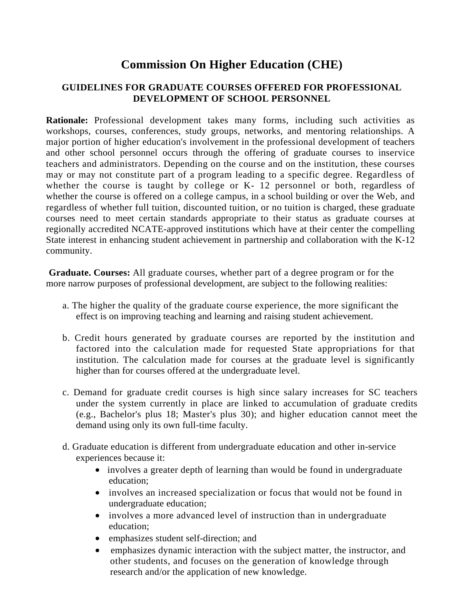## **Commission On Higher Education (CHE)**

## **GUIDELINES FOR GRADUATE COURSES OFFERED FOR PROFESSIONAL DEVELOPMENT OF SCHOOL PERSONNEL**

**Rationale:** Professional development takes many forms, including such activities as workshops, courses, conferences, study groups, networks, and mentoring relationships. A major portion of higher education's involvement in the professional development of teachers and other school personnel occurs through the offering of graduate courses to inservice teachers and administrators. Depending on the course and on the institution, these courses may or may not constitute part of a program leading to a specific degree. Regardless of whether the course is taught by college or K- 12 personnel or both, regardless of whether the course is offered on a college campus, in a school building or over the Web, and regardless of whether full tuition, discounted tuition, or no tuition is charged, these graduate courses need to meet certain standards appropriate to their status as graduate courses at regionally accredited NCATE-approved institutions which have at their center the compelling State interest in enhancing student achievement in partnership and collaboration with the K-12 community.

**Graduate. Courses:** All graduate courses, whether part of a degree program or for the more narrow purposes of professional development, are subject to the following realities:

- a. The higher the quality of the graduate course experience, the more significant the effect is on improving teaching and learning and raising student achievement.
- b. Credit hours generated by graduate courses are reported by the institution and factored into the calculation made for requested State appropriations for that institution. The calculation made for courses at the graduate level is significantly higher than for courses offered at the undergraduate level.
- c. Demand for graduate credit courses is high since salary increases for SC teachers under the system currently in place are linked to accumulation of graduate credits (e.g., Bachelor's plus 18; Master's plus 30); and higher education cannot meet the demand using only its own full-time faculty.
- d. Graduate education is different from undergraduate education and other in-service experiences because it:
	- involves a greater depth of learning than would be found in undergraduate education;
	- involves an increased specialization or focus that would not be found in undergraduate education;
	- involves a more advanced level of instruction than in undergraduate education;
	- emphasizes student self-direction; and
	- emphasizes dynamic interaction with the subject matter, the instructor, and other students, and focuses on the generation of knowledge through research and/or the application of new knowledge.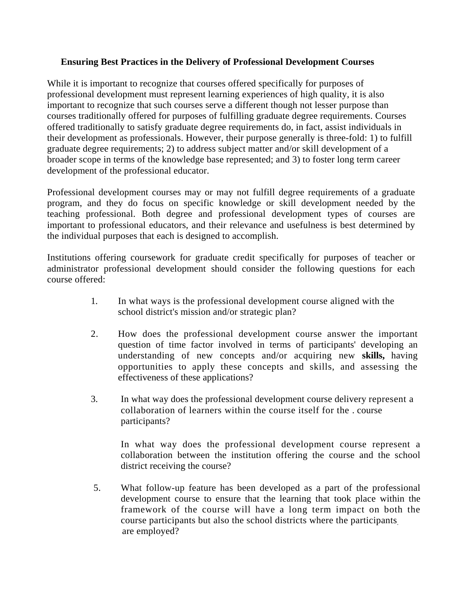## **Ensuring Best Practices in the Delivery of Professional Development Courses**

While it is important to recognize that courses offered specifically for purposes of professional development must represent learning experiences of high quality, it is also important to recognize that such courses serve a different though not lesser purpose than courses traditionally offered for purposes of fulfilling graduate degree requirements. Courses offered traditionally to satisfy graduate degree requirements do, in fact, assist individuals in their development as professionals. However, their purpose generally is three-fold: 1) to fulfill graduate degree requirements; 2) to address subject matter and/or skill development of a broader scope in terms of the knowledge base represented; and 3) to foster long term career development of the professional educator.

Professional development courses may or may not fulfill degree requirements of a graduate program, and they do focus on specific knowledge or skill development needed by the teaching professional. Both degree and professional development types of courses are important to professional educators, and their relevance and usefulness is best determined by the individual purposes that each is designed to accomplish.

Institutions offering coursework for graduate credit specifically for purposes of teacher or administrator professional development should consider the following questions for each course offered:

- 1. In what ways is the professional development course aligned with the school district's mission and/or strategic plan?
- 2. How does the professional development course answer the important question of time factor involved in terms of participants' developing an understanding of new concepts and/or acquiring new **skills,** having opportunities to apply these concepts and skills, and assessing the effectiveness of these applications?
- 3. In what way does the professional development course delivery represent a collaboration of learners within the course itself for the . course participants?

In what way does the professional development course represent a collaboration between the institution offering the course and the school district receiving the course?

5. What follow-up feature has been developed as a part of the professional development course to ensure that the learning that took place within the framework of the course will have a long term impact on both the course participants but also the school districts where the participants. are employed?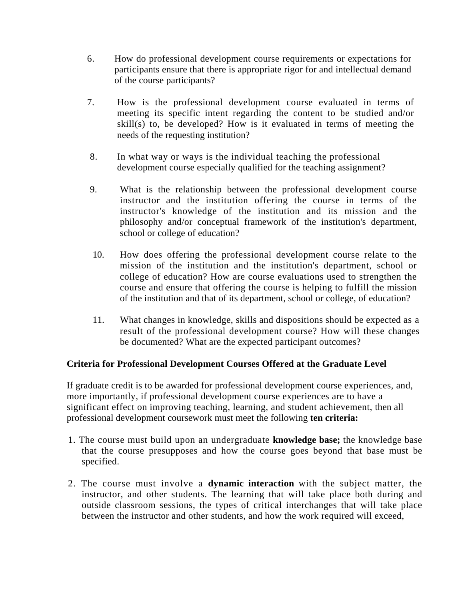- 6. How do professional development course requirements or expectations for participants ensure that there is appropriate rigor for and intellectual demand of the course participants?
- 7. How is the professional development course evaluated in terms of meeting its specific intent regarding the content to be studied and/or skill(s) to, be developed? How is it evaluated in terms of meeting the needs of the requesting institution?
- 8. In what way or ways is the individual teaching the professional development course especially qualified for the teaching assignment?
- 9. What is the relationship between the professional development course instructor and the institution offering the course in terms of the instructor's knowledge of the institution and its mission and the philosophy and/or conceptual framework of the institution's department, school or college of education?
- 10. How does offering the professional development course relate to the mission of the institution and the institution's department, school or college of education? How are course evaluations used to strengthen the course and ensure that offering the course is helping to fulfill the mission of the institution and that of its department, school or college, of education?
- 11. What changes in knowledge, skills and dispositions should be expected as a result of the professional development course? How will these changes be documented? What are the expected participant outcomes?

## **Criteria for Professional Development Courses Offered at the Graduate Level**

If graduate credit is to be awarded for professional development course experiences, and, more importantly, if professional development course experiences are to have a significant effect on improving teaching, learning, and student achievement, then all professional development coursework must meet the following **ten criteria:** 

- 1. The course must build upon an undergraduate **knowledge base;** the knowledge base that the course presupposes and how the course goes beyond that base must be specified.
- 2. The course must involve a **dynamic interaction** with the subject matter, the instructor, and other students. The learning that will take place both during and outside classroom sessions, the types of critical interchanges that will take place between the instructor and other students, and how the work required will exceed,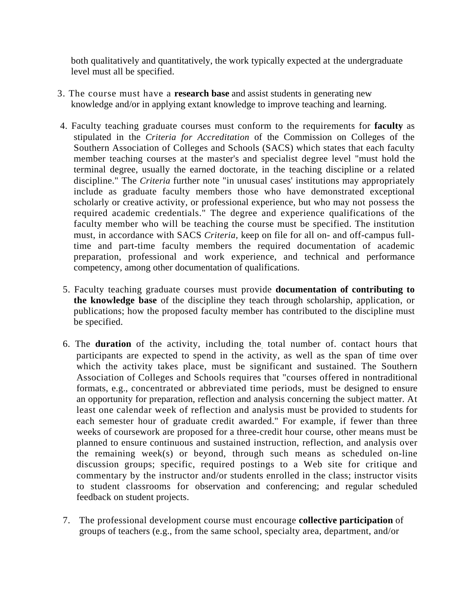both qualitatively and quantitatively, the work typically expected at the undergraduate level must all be specified.

- 3. The course must have a **research base** and assist students in generating new knowledge and/or in applying extant knowledge to improve teaching and learning.
- 4. Faculty teaching graduate courses must conform to the requirements for **faculty** as stipulated in the *Criteria for Accreditation* of the Commission on Colleges of the Southern Association of Colleges and Schools (SACS) which states that each faculty member teaching courses at the master's and specialist degree level "must hold the terminal degree, usually the earned doctorate, in the teaching discipline or a related discipline." The *Criteria* further note "in unusual cases' institutions may appropriately include as graduate faculty members those who have demonstrated exceptional scholarly or creative activity, or professional experience, but who may not possess the required academic credentials." The degree and experience qualifications of the faculty member who will be teaching the course must be specified. The institution must, in accordance with SACS *Criteria,* keep on file for all on- and off-campus fulltime and part-time faculty members the required documentation of academic preparation, professional and work experience, and technical and performance competency, among other documentation of qualifications.
- 5. Faculty teaching graduate courses must provide **documentation of contributing to the knowledge base** of the discipline they teach through scholarship, application, or publications; how the proposed faculty member has contributed to the discipline must be specified.
- 6. The **duration** of the activity, including the. total number of. contact hours that participants are expected to spend in the activity, as well as the span of time over which the activity takes place, must be significant and sustained. The Southern Association of Colleges and Schools requires that "courses offered in nontraditional formats, e.g., concentrated or abbreviated time periods, must be designed to ensure an opportunity for preparation, reflection and analysis concerning the subject matter. At least one calendar week of reflection and analysis must be provided to students for each semester hour of graduate credit awarded." For example, if fewer than three weeks of coursework are proposed for a three-credit hour course, other means must be planned to ensure continuous and sustained instruction, reflection, and analysis over the remaining week(s) or beyond, through such means as scheduled on-line discussion groups; specific, required postings to a Web site for critique and commentary by the instructor and/or students enrolled in the class; instructor visits to student classrooms for observation and conferencing; and regular scheduled feedback on student projects.
- 7. The professional development course must encourage **collective participation** of groups of teachers (e.g., from the same school, specialty area, department, and/or